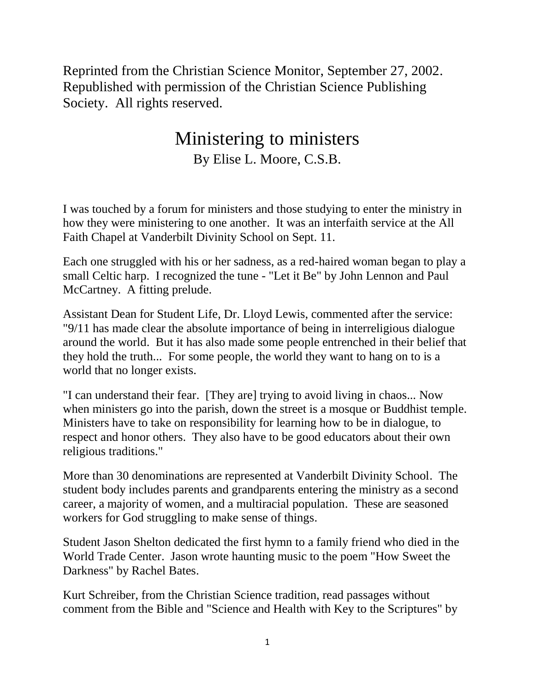Reprinted from the Christian Science Monitor, September 27, 2002. Republished with permission of the Christian Science Publishing Society. All rights reserved.

## Ministering to ministers By Elise L. Moore, C.S.B.

I was touched by a forum for ministers and those studying to enter the ministry in how they were ministering to one another. It was an interfaith service at the All Faith Chapel at Vanderbilt Divinity School on Sept. 11.

Each one struggled with his or her sadness, as a red-haired woman began to play a small Celtic harp. I recognized the tune - "Let it Be" by John Lennon and Paul McCartney. A fitting prelude.

Assistant Dean for Student Life, Dr. Lloyd Lewis, commented after the service: "9/11 has made clear the absolute importance of being in interreligious dialogue around the world. But it has also made some people entrenched in their belief that they hold the truth... For some people, the world they want to hang on to is a world that no longer exists.

"I can understand their fear. [They are] trying to avoid living in chaos... Now when ministers go into the parish, down the street is a mosque or Buddhist temple. Ministers have to take on responsibility for learning how to be in dialogue, to respect and honor others. They also have to be good educators about their own religious traditions."

More than 30 denominations are represented at Vanderbilt Divinity School. The student body includes parents and grandparents entering the ministry as a second career, a majority of women, and a multiracial population. These are seasoned workers for God struggling to make sense of things.

Student Jason Shelton dedicated the first hymn to a family friend who died in the World Trade Center. Jason wrote haunting music to the poem "How Sweet the Darkness" by Rachel Bates.

Kurt Schreiber, from the Christian Science tradition, read passages without comment from the Bible and "Science and Health with Key to the Scriptures" by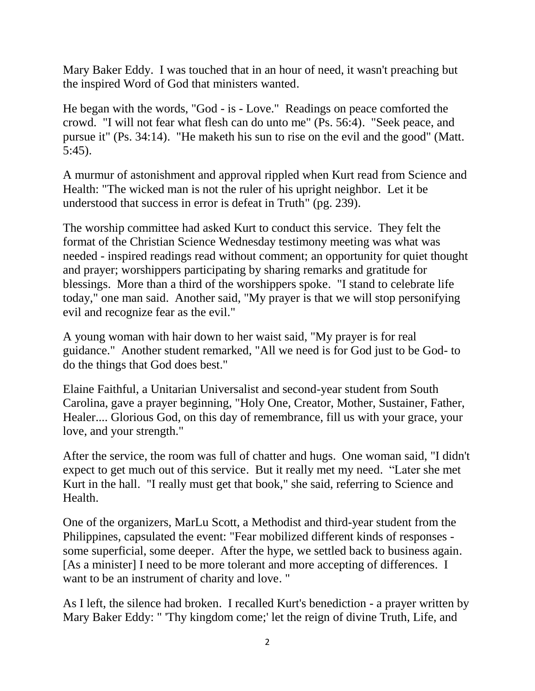Mary Baker Eddy. I was touched that in an hour of need, it wasn't preaching but the inspired Word of God that ministers wanted.

He began with the words, "God - is - Love." Readings on peace comforted the crowd. "I will not fear what flesh can do unto me" (Ps. 56:4). "Seek peace, and pursue it" (Ps. 34:14). "He maketh his sun to rise on the evil and the good" (Matt. 5:45).

A murmur of astonishment and approval rippled when Kurt read from Science and Health: "The wicked man is not the ruler of his upright neighbor. Let it be understood that success in error is defeat in Truth" (pg. 239).

The worship committee had asked Kurt to conduct this service. They felt the format of the Christian Science Wednesday testimony meeting was what was needed - inspired readings read without comment; an opportunity for quiet thought and prayer; worshippers participating by sharing remarks and gratitude for blessings. More than a third of the worshippers spoke. "I stand to celebrate life today," one man said. Another said, "My prayer is that we will stop personifying evil and recognize fear as the evil."

A young woman with hair down to her waist said, "My prayer is for real guidance." Another student remarked, "All we need is for God just to be God- to do the things that God does best."

Elaine Faithful, a Unitarian Universalist and second-year student from South Carolina, gave a prayer beginning, "Holy One, Creator, Mother, Sustainer, Father, Healer.... Glorious God, on this day of remembrance, fill us with your grace, your love, and your strength."

After the service, the room was full of chatter and hugs. One woman said, "I didn't expect to get much out of this service. But it really met my need. "Later she met Kurt in the hall. "I really must get that book," she said, referring to Science and Health.

One of the organizers, MarLu Scott, a Methodist and third-year student from the Philippines, capsulated the event: "Fear mobilized different kinds of responses some superficial, some deeper. After the hype, we settled back to business again. [As a minister] I need to be more tolerant and more accepting of differences. I want to be an instrument of charity and love. "

As I left, the silence had broken. I recalled Kurt's benediction - a prayer written by Mary Baker Eddy: " 'Thy kingdom come;' let the reign of divine Truth, Life, and